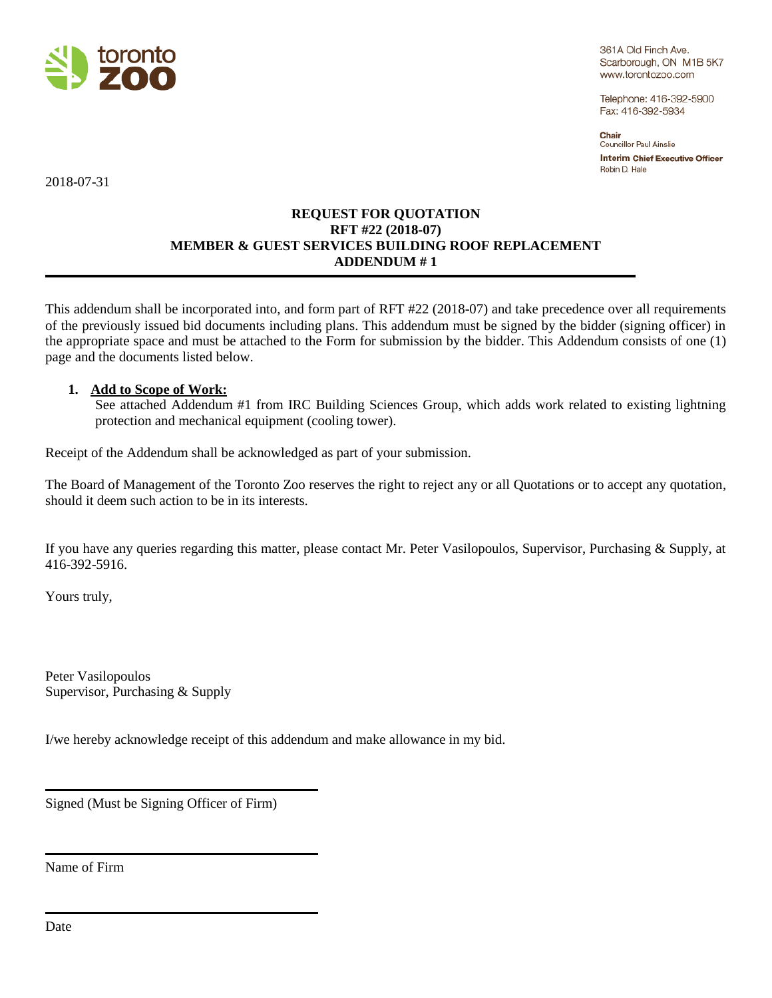

361A Old Finch Ave. Scarborough, ON M1B 5K7 www.torontozoo.com

Telephone: 416-392-5900 Fax: 416-392-5934

Chair Councillor Paul Ainslie **Interim Chief Executive Officer** Robin D. Hale

2018-07-31

## **REQUEST FOR QUOTATION RFT #22 (2018-07) MEMBER & GUEST SERVICES BUILDING ROOF REPLACEMENT ADDENDUM # 1**

This addendum shall be incorporated into, and form part of RFT #22 (2018-07) and take precedence over all requirements of the previously issued bid documents including plans. This addendum must be signed by the bidder (signing officer) in the appropriate space and must be attached to the Form for submission by the bidder. This Addendum consists of one (1) page and the documents listed below.

## **1. Add to Scope of Work:**

See attached Addendum #1 from IRC Building Sciences Group, which adds work related to existing lightning protection and mechanical equipment (cooling tower).

Receipt of the Addendum shall be acknowledged as part of your submission.

The Board of Management of the Toronto Zoo reserves the right to reject any or all Quotations or to accept any quotation, should it deem such action to be in its interests.

If you have any queries regarding this matter, please contact Mr. Peter Vasilopoulos, Supervisor, Purchasing & Supply, at 416-392-5916.

Yours truly,

Peter Vasilopoulos Supervisor, Purchasing & Supply

I/we hereby acknowledge receipt of this addendum and make allowance in my bid.

Signed (Must be Signing Officer of Firm)

Name of Firm